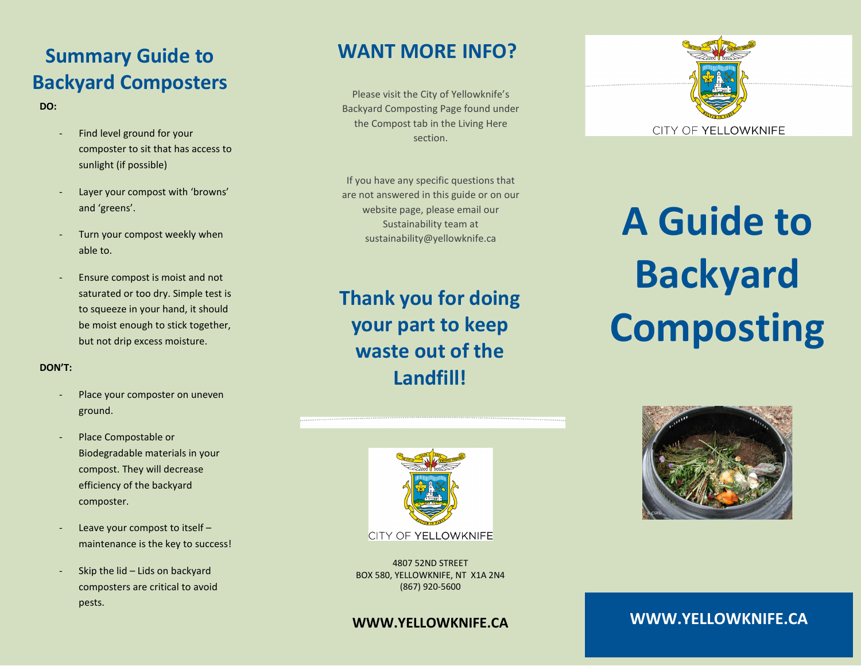# **Summary Guide to Backyard Composters**

**DO:**

- Find level ground for your composter to sit that has access to sunlight (if possible)
- Layer your compost with 'browns' and 'greens'.
- Turn your compost weekly when able to.
- Ensure compost is moist and not saturated or too dry. Simple test is to squeeze in your hand, it should be moist enough to stick together, but not drip excess moisture.

### **DON'T:**

- Place your composter on uneven ground.
- Place Compostable or Biodegradable materials in your compost. They will decrease efficiency of the backyard composter.
- Leave your compost to itself maintenance is the key to success!
- Skip the lid  $-$  Lids on backyard composters are critical to avoid pests.

### **WANT MORE INFO?**

Please visit the City of Yellowknife's Backyard Composting Page found under the Compost tab in the Living Here section.

If you have any specific questions that are not answered in this guide or on our website page, please email our Sustainability team at

**Thank you for doing your part to keep waste out of the Landfill!**



4807 52ND STREET BOX 580, YELLOWKNIFE, NT X1A 2N4 (867) 920-5600

### **WWW.YELLOWKNIFE.CA**



website page, please email our<br>Sustainability team at **A Guide to Backyard Composting**



**WWW.YELLOWKNIFE.CA**